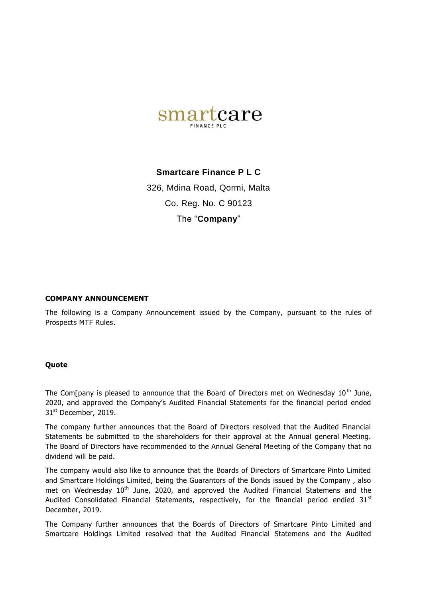

## **Smartcare Finance P L C**

326, Mdina Road, Qormi, Malta Co. Reg. No. C 90123 The "**Company**"

## **COMPANY ANNOUNCEMENT**

The following is a Company Announcement issued by the Company, pursuant to the rules of Prospects MTF Rules.

## **Quote**

The Com[pany is pleased to announce that the Board of Directors met on Wednesday 10<sup>th</sup> June, 2020, and approved the Company's Audited Financial Statements for the financial period ended 31<sup>st</sup> December, 2019.

The company further announces that the Board of Directors resolved that the Audited Financial Statements be submitted to the shareholders for their approval at the Annual general Meeting. The Board of Directors have recommended to the Annual General Meeting of the Company that no dividend will be paid.

The company would also like to announce that the Boards of Directors of Smartcare Pinto Limited and Smartcare Holdings Limited, being the Guarantors of the Bonds issued by the Company , also met on Wednesday  $10<sup>th</sup>$  June, 2020, and approved the Audited Financial Statemens and the Audited Consolidated Financial Statements, respectively, for the financial period endied 31st December, 2019.

The Company further announces that the Boards of Directors of Smartcare Pinto Limited and Smartcare Holdings Limited resolved that the Audited Financial Statemens and the Audited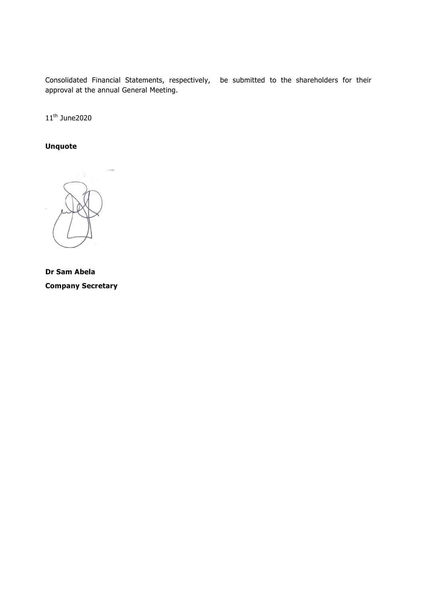Consolidated Financial Statements, respectively, be submitted to the shareholders for their approval at the annual General Meeting.

 $11^{\text{th}}$  June2020

**Unquote**



**Dr Sam Abela Company Secretary**